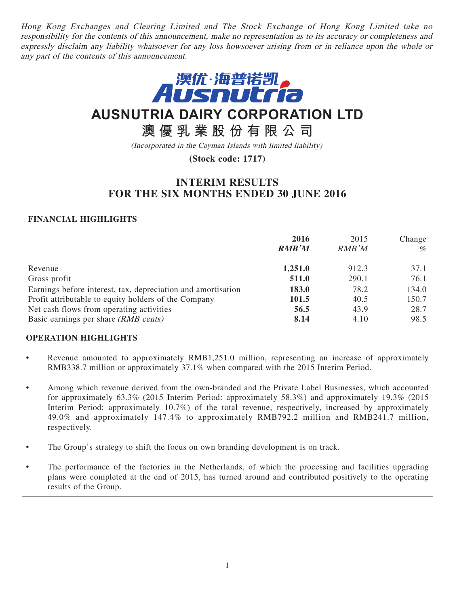Hong Kong Exchanges and Clearing Limited and The Stock Exchange of Hong Kong Limited take no responsibility for the contents of this announcement, make no representation as to its accuracy or completeness and expressly disclaim any liability whatsoever for any loss howsoever arising from or in reliance upon the whole or any part of the contents of this announcement.



# **AUSNUTRIA DAIRY CORPORATION LTD**

# **澳優乳業股份有限公司**

(Incorporated in the Cayman Islands with limited liability)

# **(Stock code: 1717)**

# **INTERIM RESULTS FOR THE SIX MONTHS ENDED 30 JUNE 2016**

# **FINANCIAL HIGHLIGHTS**

|                                                              | 2016<br><b>RMB'M</b> | 2015<br><b>RMB</b> 'M | Change<br>% |
|--------------------------------------------------------------|----------------------|-----------------------|-------------|
| Revenue                                                      | 1,251.0              | 912.3                 | 37.1        |
| Gross profit                                                 | 511.0                | 290.1                 | 76.1        |
| Earnings before interest, tax, depreciation and amortisation | 183.0                | 78.2                  | 134.0       |
| Profit attributable to equity holders of the Company         | 101.5                | 40.5                  | 150.7       |
| Net cash flows from operating activities                     | 56.5                 | 43.9                  | 28.7        |
| Basic earnings per share (RMB cents)                         | 8.14                 | 4.10                  | 98.5        |

#### **OPERATION HIGHLIGHTS**

- Revenue amounted to approximately RMB1,251.0 million, representing an increase of approximately RMB338.7 million or approximately 37.1% when compared with the 2015 Interim Period.
- Among which revenue derived from the own-branded and the Private Label Businesses, which accounted for approximately 63.3% (2015 Interim Period: approximately 58.3%) and approximately 19.3% (2015 Interim Period: approximately 10.7%) of the total revenue, respectively, increased by approximately 49.0% and approximately 147.4% to approximately RMB792.2 million and RMB241.7 million, respectively.
- The Group's strategy to shift the focus on own branding development is on track.
- The performance of the factories in the Netherlands, of which the processing and facilities upgrading plans were completed at the end of 2015, has turned around and contributed positively to the operating results of the Group.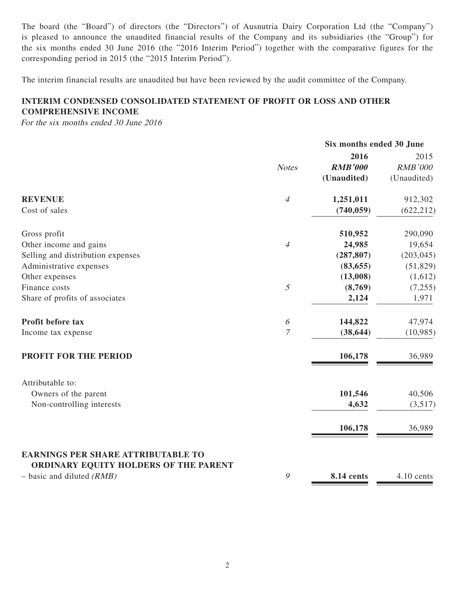The board (the "Board") of directors (the "Directors") of Ausnutria Dairy Corporation Ltd (the "Company") is pleased to announce the unaudited financial results of the Company and its subsidiaries (the "Group") for the six months ended 30 June 2016 (the "2016 Interim Period") together with the comparative figures for the corresponding period in 2015 (the "2015 Interim Period").

The interim financial results are unaudited but have been reviewed by the audit committee of the Company.

# **INTERIM CONDENSED CONSOLIDATED STATEMENT OF PROFIT OR LOSS AND OTHER COMPREHENSIVE INCOME**

For the six months ended 30 June 2016

|                                                                                                                   |                       |                | Six months ended 30 June |  |
|-------------------------------------------------------------------------------------------------------------------|-----------------------|----------------|--------------------------|--|
|                                                                                                                   |                       | 2016           | 2015                     |  |
|                                                                                                                   | <b>Notes</b>          | <b>RMB'000</b> | <b>RMB'000</b>           |  |
|                                                                                                                   |                       | (Unaudited)    | (Unaudited)              |  |
| <b>REVENUE</b>                                                                                                    | $\overline{4}$        | 1,251,011      | 912,302                  |  |
| Cost of sales                                                                                                     |                       | (740, 059)     | (622, 212)               |  |
| Gross profit                                                                                                      |                       | 510,952        | 290,090                  |  |
| Other income and gains                                                                                            | $\overline{4}$        | 24,985         | 19,654                   |  |
| Selling and distribution expenses                                                                                 |                       | (287, 807)     | (203, 045)               |  |
| Administrative expenses                                                                                           |                       | (83, 655)      | (51, 829)                |  |
| Other expenses                                                                                                    |                       | (13,008)       | (1,612)                  |  |
| Finance costs                                                                                                     | 5                     | (8,769)        | (7,255)                  |  |
| Share of profits of associates                                                                                    |                       | 2,124          | 1,971                    |  |
| Profit before tax                                                                                                 | $\boldsymbol{\delta}$ | 144,822        | 47,974                   |  |
| Income tax expense                                                                                                | $\overline{7}$        | (38, 644)      | (10, 985)                |  |
| <b>PROFIT FOR THE PERIOD</b>                                                                                      |                       | 106,178        | 36,989                   |  |
| Attributable to:                                                                                                  |                       |                |                          |  |
| Owners of the parent                                                                                              |                       | 101,546        | 40,506                   |  |
| Non-controlling interests                                                                                         |                       | 4,632          | (3,517)                  |  |
|                                                                                                                   |                       | 106,178        | 36,989                   |  |
| <b>EARNINGS PER SHARE ATTRIBUTABLE TO</b><br>ORDINARY EQUITY HOLDERS OF THE PARENT<br>$-$ basic and diluted (RMB) | 9                     | 8.14 cents     | 4.10 cents               |  |
|                                                                                                                   |                       |                |                          |  |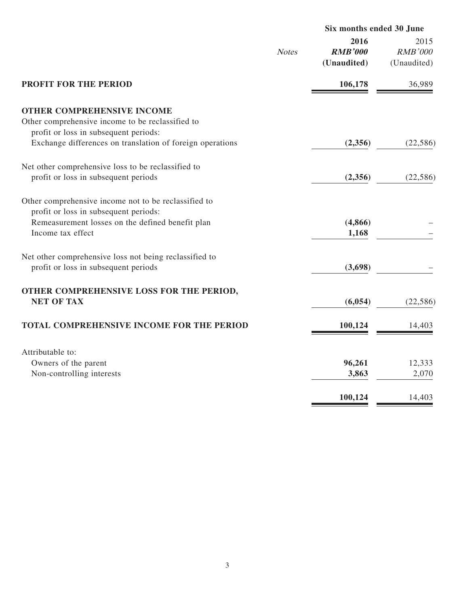|                                                           |              | Six months ended 30 June              |                                       |
|-----------------------------------------------------------|--------------|---------------------------------------|---------------------------------------|
|                                                           | <b>Notes</b> | 2016<br><b>RMB'000</b><br>(Unaudited) | 2015<br><b>RMB'000</b><br>(Unaudited) |
| <b>PROFIT FOR THE PERIOD</b>                              |              | 106,178                               | 36,989                                |
| <b>OTHER COMPREHENSIVE INCOME</b>                         |              |                                       |                                       |
| Other comprehensive income to be reclassified to          |              |                                       |                                       |
| profit or loss in subsequent periods:                     |              |                                       |                                       |
| Exchange differences on translation of foreign operations |              | (2,356)                               | (22, 586)                             |
| Net other comprehensive loss to be reclassified to        |              |                                       |                                       |
| profit or loss in subsequent periods                      |              | (2,356)                               | (22, 586)                             |
| Other comprehensive income not to be reclassified to      |              |                                       |                                       |
| profit or loss in subsequent periods:                     |              |                                       |                                       |
| Remeasurement losses on the defined benefit plan          |              | (4, 866)                              |                                       |
| Income tax effect                                         |              | 1,168                                 |                                       |
| Net other comprehensive loss not being reclassified to    |              |                                       |                                       |
| profit or loss in subsequent periods                      |              | (3,698)                               |                                       |
| OTHER COMPREHENSIVE LOSS FOR THE PERIOD,                  |              |                                       |                                       |
| <b>NET OF TAX</b>                                         |              | (6,054)                               | (22, 586)                             |
| TOTAL COMPREHENSIVE INCOME FOR THE PERIOD                 |              | 100,124                               | 14,403                                |
| Attributable to:                                          |              |                                       |                                       |
| Owners of the parent                                      |              | 96,261                                | 12,333                                |
| Non-controlling interests                                 |              | 3,863                                 | 2,070                                 |
|                                                           |              |                                       |                                       |
|                                                           |              | 100,124                               | 14,403                                |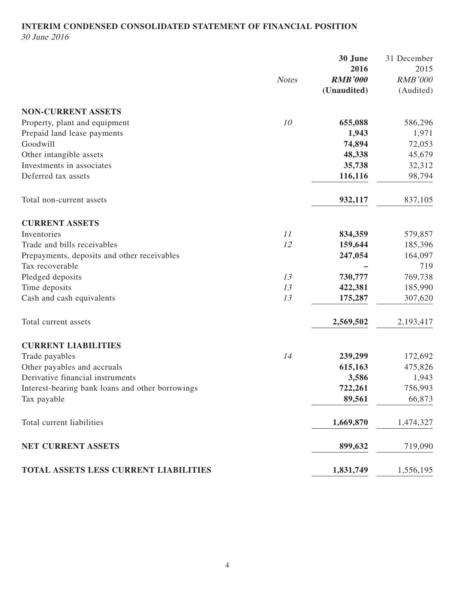# **INTERIM CONDENSED CONSOLIDATED STATEMENT OF FINANCIAL POSITION**

30 June 2016

|                                                  |              | 30 June        | 31 December    |
|--------------------------------------------------|--------------|----------------|----------------|
|                                                  |              | 2016           | 2015           |
|                                                  | <b>Notes</b> | <b>RMB'000</b> | <b>RMB'000</b> |
|                                                  |              | (Unaudited)    | (Audited)      |
| <b>NON-CURRENT ASSETS</b>                        |              |                |                |
| Property, plant and equipment                    | 10           | 655,088        | 586,296        |
| Prepaid land lease payments                      |              | 1,943          | 1,971          |
| Goodwill                                         |              | 74,894         | 72,053         |
| Other intangible assets                          |              | 48,338         | 45,679         |
| Investments in associates                        |              | 35,738         | 32,312         |
| Deferred tax assets                              |              | 116,116        | 98,794         |
| Total non-current assets                         |              | 932,117        | 837,105        |
| <b>CURRENT ASSETS</b>                            |              |                |                |
| Inventories                                      | 11           | 834,359        | 579,857        |
| Trade and bills receivables                      | 12           | 159,644        | 185,396        |
| Prepayments, deposits and other receivables      |              | 247,054        | 164,097        |
| Tax recoverable                                  |              |                | 719            |
| Pledged deposits                                 | 13           | 730,777        | 769,738        |
| Time deposits                                    | 13           | 422,381        | 185,990        |
| Cash and cash equivalents                        | 13           | 175,287        | 307,620        |
| Total current assets                             |              | 2,569,502      | 2,193,417      |
| <b>CURRENT LIABILITIES</b>                       |              |                |                |
| Trade payables                                   | 14           | 239,299        | 172,692        |
| Other payables and accruals                      |              | 615,163        | 475,826        |
| Derivative financial instruments                 |              | 3,586          | 1,943          |
| Interest-bearing bank loans and other borrowings |              | 722,261        | 756,993        |
| Tax payable                                      |              | 89,561         | 66,873         |
| Total current liabilities                        |              | 1,669,870      | 1,474,327      |
| NET CURRENT ASSETS                               |              | 899,632        | 719,090        |
| TOTAL ASSETS LESS CURRENT LIABILITIES            |              | 1,831,749      | 1,556,195      |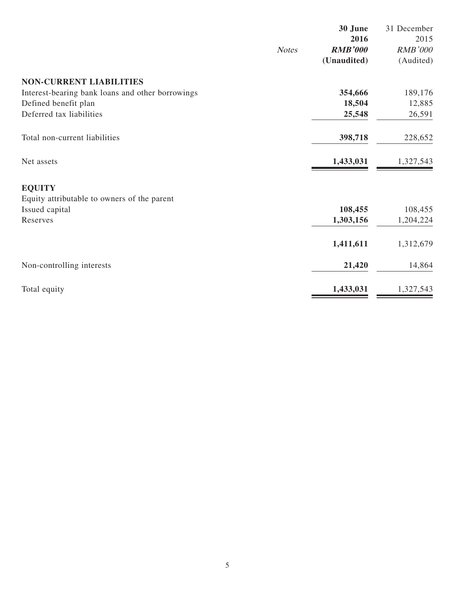|                                                  |              | 30 June        | 31 December    |
|--------------------------------------------------|--------------|----------------|----------------|
|                                                  |              | 2016           | 2015           |
|                                                  | <b>Notes</b> | <b>RMB'000</b> | <b>RMB'000</b> |
|                                                  |              | (Unaudited)    | (Audited)      |
| <b>NON-CURRENT LIABILITIES</b>                   |              |                |                |
| Interest-bearing bank loans and other borrowings |              | 354,666        | 189,176        |
| Defined benefit plan                             |              | 18,504         | 12,885         |
| Deferred tax liabilities                         |              | 25,548         | 26,591         |
| Total non-current liabilities                    |              | 398,718        | 228,652        |
| Net assets                                       |              | 1,433,031      | 1,327,543      |
| <b>EQUITY</b>                                    |              |                |                |
| Equity attributable to owners of the parent      |              |                |                |
| Issued capital                                   |              | 108,455        | 108,455        |
| Reserves                                         |              | 1,303,156      | 1,204,224      |
|                                                  |              | 1,411,611      | 1,312,679      |
| Non-controlling interests                        |              | 21,420         | 14,864         |
| Total equity                                     |              | 1,433,031      | 1,327,543      |
|                                                  |              |                |                |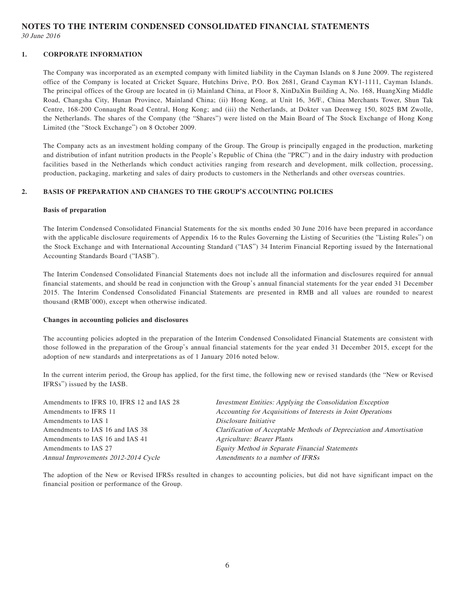**NOTES TO THE INTERIM CONDENSED CONSOLIDATED FINANCIAL STATEMENTS** 30 June 2016

#### **1. CORPORATE INFORMATION**

The Company was incorporated as an exempted company with limited liability in the Cayman Islands on 8 June 2009. The registered office of the Company is located at Cricket Square, Hutchins Drive, P.O. Box 2681, Grand Cayman KY1-1111, Cayman Islands. The principal offices of the Group are located in (i) Mainland China, at Floor 8, XinDaXin Building A, No. 168, HuangXing Middle Road, Changsha City, Hunan Province, Mainland China; (ii) Hong Kong, at Unit 16, 36/F., China Merchants Tower, Shun Tak Centre, 168-200 Connaught Road Central, Hong Kong; and (iii) the Netherlands, at Dokter van Deenweg 150, 8025 BM Zwolle, the Netherlands. The shares of the Company (the "Shares") were listed on the Main Board of The Stock Exchange of Hong Kong Limited (the "Stock Exchange") on 8 October 2009.

The Company acts as an investment holding company of the Group. The Group is principally engaged in the production, marketing and distribution of infant nutrition products in the People's Republic of China (the "PRC") and in the dairy industry with production facilities based in the Netherlands which conduct activities ranging from research and development, milk collection, processing, production, packaging, marketing and sales of dairy products to customers in the Netherlands and other overseas countries.

#### **2. BASIS OF PREPARATION AND CHANGES TO THE GROUP'S ACCOUNTING POLICIES**

#### **Basis of preparation**

The Interim Condensed Consolidated Financial Statements for the six months ended 30 June 2016 have been prepared in accordance with the applicable disclosure requirements of Appendix 16 to the Rules Governing the Listing of Securities (the "Listing Rules") on the Stock Exchange and with International Accounting Standard ("IAS") 34 Interim Financial Reporting issued by the International Accounting Standards Board ("IASB").

The Interim Condensed Consolidated Financial Statements does not include all the information and disclosures required for annual financial statements, and should be read in conjunction with the Group's annual financial statements for the year ended 31 December 2015. The Interim Condensed Consolidated Financial Statements are presented in RMB and all values are rounded to nearest thousand (RMB'000), except when otherwise indicated.

#### **Changes in accounting policies and disclosures**

The accounting policies adopted in the preparation of the Interim Condensed Consolidated Financial Statements are consistent with those followed in the preparation of the Group's annual financial statements for the year ended 31 December 2015, except for the adoption of new standards and interpretations as of 1 January 2016 noted below.

In the current interim period, the Group has applied, for the first time, the following new or revised standards (the "New or Revised IFRSs") issued by the IASB.

| Amendments to IFRS 10, IFRS 12 and IAS 28 | Investment Entities: Applying the Consolidation Exception            |
|-------------------------------------------|----------------------------------------------------------------------|
| Amendments to IFRS 11                     | Accounting for Acquisitions of Interests in Joint Operations         |
| Amendments to IAS 1                       | Disclosure Initiative                                                |
| Amendments to IAS 16 and IAS 38           | Clarification of Acceptable Methods of Depreciation and Amortisation |
| Amendments to IAS 16 and IAS 41           | <b>Agriculture: Bearer Plants</b>                                    |
| Amendments to IAS 27                      | Equity Method in Separate Financial Statements                       |
| Annual Improvements 2012-2014 Cycle       | Amendments to a number of IFRSs                                      |
|                                           |                                                                      |

The adoption of the New or Revised IFRSs resulted in changes to accounting policies, but did not have significant impact on the financial position or performance of the Group.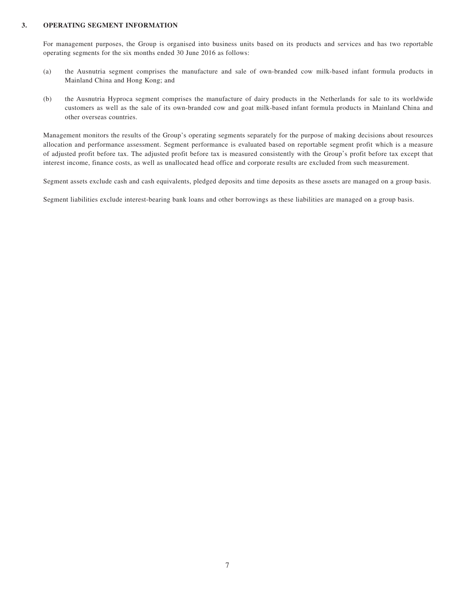#### **3. OPERATING SEGMENT INFORMATION**

For management purposes, the Group is organised into business units based on its products and services and has two reportable operating segments for the six months ended 30 June 2016 as follows:

- (a) the Ausnutria segment comprises the manufacture and sale of own-branded cow milk-based infant formula products in Mainland China and Hong Kong; and
- (b) the Ausnutria Hyproca segment comprises the manufacture of dairy products in the Netherlands for sale to its worldwide customers as well as the sale of its own-branded cow and goat milk-based infant formula products in Mainland China and other overseas countries.

Management monitors the results of the Group's operating segments separately for the purpose of making decisions about resources allocation and performance assessment. Segment performance is evaluated based on reportable segment profit which is a measure of adjusted profit before tax. The adjusted profit before tax is measured consistently with the Group's profit before tax except that interest income, finance costs, as well as unallocated head office and corporate results are excluded from such measurement.

Segment assets exclude cash and cash equivalents, pledged deposits and time deposits as these assets are managed on a group basis.

Segment liabilities exclude interest-bearing bank loans and other borrowings as these liabilities are managed on a group basis.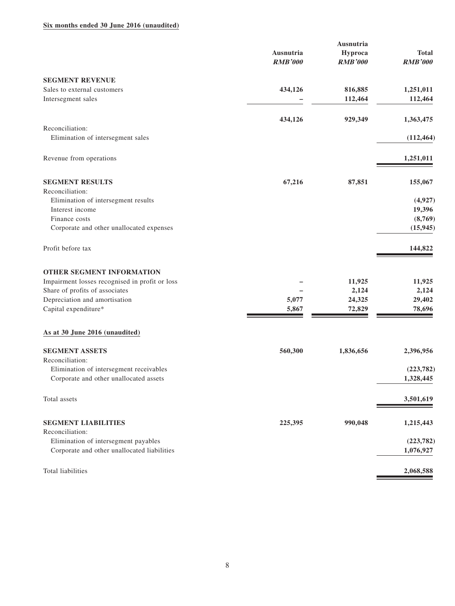#### **Six months ended 30 June 2016 (unaudited)**

|                                                      | Ausnutria<br><b>RMB'000</b> | Ausnutria<br>Hyproca<br><b>RMB'000</b> | <b>Total</b><br><b>RMB'000</b> |
|------------------------------------------------------|-----------------------------|----------------------------------------|--------------------------------|
| <b>SEGMENT REVENUE</b>                               |                             |                                        |                                |
| Sales to external customers                          | 434,126                     | 816,885                                | 1,251,011                      |
| Intersegment sales                                   |                             | 112,464                                | 112,464                        |
|                                                      | 434,126                     | 929,349                                | 1,363,475                      |
| Reconciliation:<br>Elimination of intersegment sales |                             |                                        | (112, 464)                     |
| Revenue from operations                              |                             |                                        | 1,251,011                      |
| <b>SEGMENT RESULTS</b>                               | 67,216                      | 87,851                                 | 155,067                        |
| Reconciliation:                                      |                             |                                        |                                |
| Elimination of intersegment results                  |                             |                                        | (4,927)                        |
| Interest income                                      |                             |                                        | 19,396                         |
| Finance costs                                        |                             |                                        | (8,769)                        |
| Corporate and other unallocated expenses             |                             |                                        | (15, 945)                      |
| Profit before tax                                    |                             |                                        | 144,822                        |
| <b>OTHER SEGMENT INFORMATION</b>                     |                             |                                        |                                |
| Impairment losses recognised in profit or loss       |                             | 11,925                                 | 11,925                         |
| Share of profits of associates                       |                             | 2,124                                  | 2,124                          |
| Depreciation and amortisation                        | 5,077                       | 24,325                                 | 29,402                         |
| Capital expenditure*                                 | 5,867                       | 72,829                                 | 78,696                         |
| As at 30 June 2016 (unaudited)                       |                             |                                        |                                |
| <b>SEGMENT ASSETS</b><br>Reconciliation:             | 560,300                     | 1,836,656                              | 2,396,956                      |
| Elimination of intersegment receivables              |                             |                                        | (223, 782)                     |
| Corporate and other unallocated assets               |                             |                                        | 1,328,445                      |
| Total assets                                         |                             |                                        | 3,501,619                      |
| <b>SEGMENT LIABILITIES</b>                           | 225,395                     | 990,048                                | 1,215,443                      |
| Reconciliation:                                      |                             |                                        |                                |
| Elimination of intersegment payables                 |                             |                                        | (223, 782)                     |
| Corporate and other unallocated liabilities          |                             |                                        | 1,076,927                      |
| Total liabilities                                    |                             |                                        | 2,068,588                      |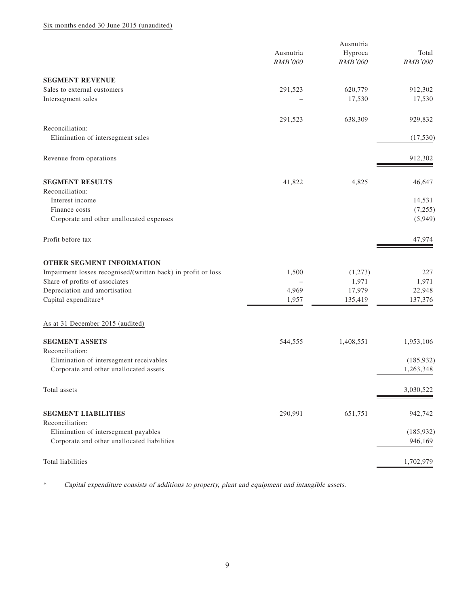#### Six months ended 30 June 2015 (unaudited)

|                                                               | Ausnutria      |                |                |  |
|---------------------------------------------------------------|----------------|----------------|----------------|--|
|                                                               | Ausnutria      | Hyproca        | Total          |  |
|                                                               | <b>RMB'000</b> | <b>RMB'000</b> | <b>RMB'000</b> |  |
| <b>SEGMENT REVENUE</b>                                        |                |                |                |  |
| Sales to external customers                                   | 291,523        | 620,779        | 912,302        |  |
| Intersegment sales                                            |                | 17,530         | 17,530         |  |
|                                                               |                |                |                |  |
|                                                               | 291,523        | 638,309        | 929,832        |  |
| Reconciliation:                                               |                |                |                |  |
| Elimination of intersegment sales                             |                |                | (17,530)       |  |
| Revenue from operations                                       |                |                | 912,302        |  |
| <b>SEGMENT RESULTS</b>                                        | 41,822         | 4,825          | 46,647         |  |
| Reconciliation:                                               |                |                |                |  |
| Interest income                                               |                |                | 14,531         |  |
| Finance costs                                                 |                |                | (7,255)        |  |
| Corporate and other unallocated expenses                      |                |                | (5,949)        |  |
|                                                               |                |                |                |  |
| Profit before tax                                             |                |                | 47,974         |  |
| OTHER SEGMENT INFORMATION                                     |                |                |                |  |
| Impairment losses recognised/(written back) in profit or loss | 1,500          | (1,273)        | 227            |  |
| Share of profits of associates                                |                | 1,971          | 1,971          |  |
| Depreciation and amortisation                                 | 4,969          | 17,979         | 22,948         |  |
| Capital expenditure*                                          | 1,957          | 135,419        | 137,376        |  |
|                                                               |                |                |                |  |
| As at 31 December 2015 (audited)                              |                |                |                |  |
| <b>SEGMENT ASSETS</b>                                         | 544,555        | 1,408,551      | 1,953,106      |  |
| Reconciliation:                                               |                |                |                |  |
| Elimination of intersegment receivables                       |                |                | (185, 932)     |  |
| Corporate and other unallocated assets                        |                |                | 1,263,348      |  |
| Total assets                                                  |                |                | 3,030,522      |  |
| <b>SEGMENT LIABILITIES</b>                                    | 290,991        | 651,751        | 942,742        |  |
| Reconciliation:                                               |                |                |                |  |
| Elimination of intersegment payables                          |                |                | (185, 932)     |  |
| Corporate and other unallocated liabilities                   |                |                | 946,169        |  |
|                                                               |                |                |                |  |
| Total liabilities                                             |                |                | 1,702,979      |  |

\* Capital expenditure consists of additions to property, plant and equipment and intangible assets.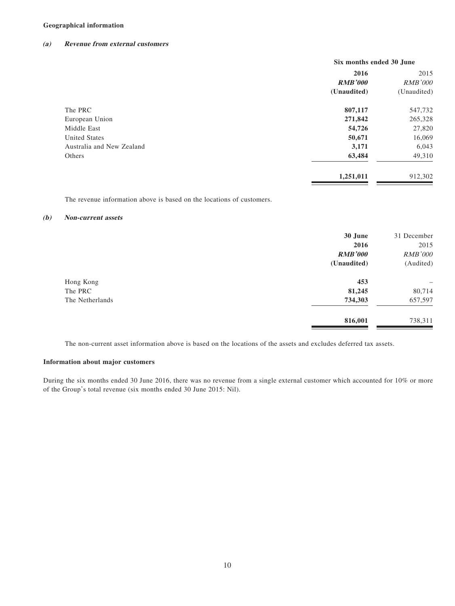#### **Geographical information**

#### **(a) Revenue from external customers**

| Six months ended 30 June |                |
|--------------------------|----------------|
| 2016                     | 2015           |
| <b>RMB'000</b>           | <b>RMB'000</b> |
| (Unaudited)              | (Unaudited)    |
| 807,117                  | 547,732        |
| 271,842                  | 265,328        |
| 54,726                   | 27,820         |
| 50,671                   | 16,069         |
| 3,171                    | 6,043          |
| 63,484                   | 49,310         |
| 1,251,011                | 912,302        |
|                          |                |

The revenue information above is based on the locations of customers.

#### **(b) Non-current assets**

|                 | 30 June<br>2016<br><b>RMB'000</b> | 31 December<br>2015<br>RMB'000 |
|-----------------|-----------------------------------|--------------------------------|
|                 | (Unaudited)                       | (Audited)                      |
| Hong Kong       | 453                               | -                              |
| The PRC         | 81,245                            | 80,714                         |
| The Netherlands | 734,303                           | 657,597                        |
|                 | 816,001                           | 738,311                        |

The non-current asset information above is based on the locations of the assets and excludes deferred tax assets.

#### **Information about major customers**

During the six months ended 30 June 2016, there was no revenue from a single external customer which accounted for 10% or more of the Group's total revenue (six months ended 30 June 2015: Nil).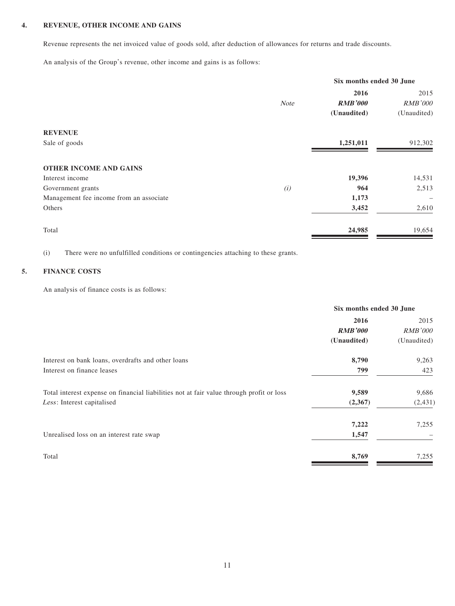#### **4. REVENUE, OTHER INCOME AND GAINS**

Revenue represents the net invoiced value of goods sold, after deduction of allowances for returns and trade discounts.

An analysis of the Group's revenue, other income and gains is as follows:

|                                         | Six months ended 30 June |                |             |
|-----------------------------------------|--------------------------|----------------|-------------|
|                                         |                          | 2016           | 2015        |
|                                         | <b>Note</b>              | <b>RMB'000</b> | RMB'000     |
|                                         |                          | (Unaudited)    | (Unaudited) |
| <b>REVENUE</b>                          |                          |                |             |
| Sale of goods                           |                          | 1,251,011      | 912,302     |
| <b>OTHER INCOME AND GAINS</b>           |                          |                |             |
| Interest income                         |                          | 19,396         | 14,531      |
| Government grants                       | (i)                      | 964            | 2,513       |
| Management fee income from an associate |                          | 1,173          |             |
| Others                                  |                          | 3,452          | 2,610       |
| Total                                   |                          | 24,985         | 19,654      |

(i) There were no unfulfilled conditions or contingencies attaching to these grants.

#### **5. FINANCE COSTS**

An analysis of finance costs is as follows:

|                                                                                          | Six months ended 30 June |                |
|------------------------------------------------------------------------------------------|--------------------------|----------------|
|                                                                                          | 2016                     | 2015           |
|                                                                                          | <b>RMB'000</b>           | <i>RMB'000</i> |
|                                                                                          | (Unaudited)              | (Unaudited)    |
| Interest on bank loans, overdrafts and other loans                                       | 8,790                    | 9,263          |
| Interest on finance leases                                                               | 799                      | 423            |
| Total interest expense on financial liabilities not at fair value through profit or loss | 9,589                    | 9,686          |
| Less: Interest capitalised                                                               | (2,367)                  | (2, 431)       |
|                                                                                          | 7,222                    | 7,255          |
| Unrealised loss on an interest rate swap                                                 | 1,547                    |                |
| Total                                                                                    | 8,769                    | 7,255          |
|                                                                                          |                          |                |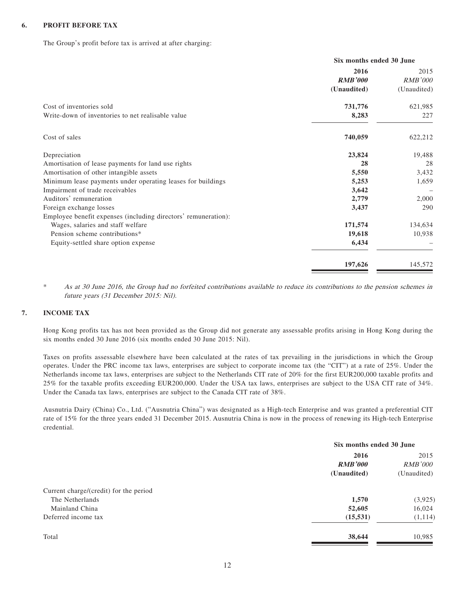#### **6. PROFIT BEFORE TAX**

The Group's profit before tax is arrived at after charging:

|                                                                      | Six months ended 30 June |  |
|----------------------------------------------------------------------|--------------------------|--|
| 2016                                                                 | 2015                     |  |
| <b>RMB'000</b>                                                       | <b>RMB'000</b>           |  |
| (Unaudited)                                                          | (Unaudited)              |  |
| Cost of inventories sold<br>731,776                                  | 621,985                  |  |
| Write-down of inventories to net realisable value<br>8,283           | 227                      |  |
| Cost of sales<br>740,059                                             | 622,212                  |  |
| Depreciation<br>23,824                                               | 19,488                   |  |
| Amortisation of lease payments for land use rights<br>28             | 28                       |  |
| Amortisation of other intangible assets<br>5,550                     | 3,432                    |  |
| Minimum lease payments under operating leases for buildings<br>5,253 | 1,659                    |  |
| Impairment of trade receivables<br>3,642                             |                          |  |
| Auditors' remuneration<br>2,779                                      | 2,000                    |  |
| Foreign exchange losses<br>3,437                                     | 290                      |  |
| Employee benefit expenses (including directors' remuneration):       |                          |  |
| Wages, salaries and staff welfare<br>171,574                         | 134,634                  |  |
| Pension scheme contributions*<br>19,618                              | 10,938                   |  |
| 6,434<br>Equity-settled share option expense                         |                          |  |
| 197,626                                                              | 145,572                  |  |

\* As at 30 June 2016, the Group had no forfeited contributions available to reduce its contributions to the pension schemes in future years (31 December 2015: Nil).

#### **7. INCOME TAX**

Hong Kong profits tax has not been provided as the Group did not generate any assessable profits arising in Hong Kong during the six months ended 30 June 2016 (six months ended 30 June 2015: Nil).

Taxes on profits assessable elsewhere have been calculated at the rates of tax prevailing in the jurisdictions in which the Group operates. Under the PRC income tax laws, enterprises are subject to corporate income tax (the "CIT") at a rate of 25%. Under the Netherlands income tax laws, enterprises are subject to the Netherlands CIT rate of 20% for the first EUR200,000 taxable profits and 25% for the taxable profits exceeding EUR200,000. Under the USA tax laws, enterprises are subject to the USA CIT rate of 34%. Under the Canada tax laws, enterprises are subject to the Canada CIT rate of 38%.

Ausnutria Dairy (China) Co., Ltd. ("Ausnutria China") was designated as a High-tech Enterprise and was granted a preferential CIT rate of 15% for the three years ended 31 December 2015. Ausnutria China is now in the process of renewing its High-tech Enterprise credential.

|                                        | Six months ended 30 June |                |
|----------------------------------------|--------------------------|----------------|
|                                        | 2016                     |                |
|                                        | <b>RMB'000</b>           | <i>RMB'000</i> |
|                                        | (Unaudited)              | (Unaudited)    |
| Current charge/(credit) for the period |                          |                |
| The Netherlands                        | 1,570                    | (3,925)        |
| Mainland China                         | 52,605                   | 16,024         |
| Deferred income tax                    | (15, 531)                | (1,114)        |
| Total                                  | 38,644                   | 10,985         |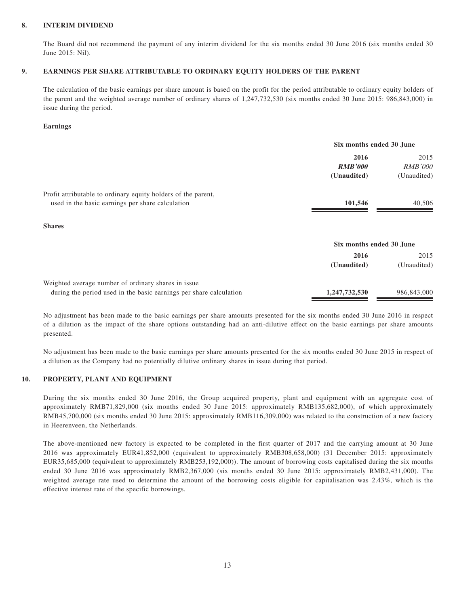#### **8. INTERIM DIVIDEND**

The Board did not recommend the payment of any interim dividend for the six months ended 30 June 2016 (six months ended 30 June 2015: Nil).

#### **9. EARNINGS PER SHARE ATTRIBUTABLE TO ORDINARY EQUITY HOLDERS OF THE PARENT**

The calculation of the basic earnings per share amount is based on the profit for the period attributable to ordinary equity holders of the parent and the weighted average number of ordinary shares of 1,247,732,530 (six months ended 30 June 2015: 986,843,000) in issue during the period.

#### **Earnings**

|                                                                    | Six months ended 30 June |                |
|--------------------------------------------------------------------|--------------------------|----------------|
|                                                                    | 2016<br>2015             |                |
|                                                                    | <b>RMB'000</b>           | <i>RMB'000</i> |
|                                                                    | (Unaudited)              | (Unaudited)    |
| Profit attributable to ordinary equity holders of the parent,      |                          |                |
| used in the basic earnings per share calculation                   | 101,546                  | 40,506         |
| <b>Shares</b>                                                      |                          |                |
|                                                                    | Six months ended 30 June |                |
|                                                                    | 2016                     | 2015           |
|                                                                    | (Unaudited)              | (Unaudited)    |
| Weighted average number of ordinary shares in issue.               |                          |                |
| during the period used in the basic earnings per share calculation | 1,247,732,530            | 986,843,000    |

No adjustment has been made to the basic earnings per share amounts presented for the six months ended 30 June 2016 in respect of a dilution as the impact of the share options outstanding had an anti-dilutive effect on the basic earnings per share amounts presented.

No adjustment has been made to the basic earnings per share amounts presented for the six months ended 30 June 2015 in respect of a dilution as the Company had no potentially dilutive ordinary shares in issue during that period.

#### **10. PROPERTY, PLANT AND EQUIPMENT**

During the six months ended 30 June 2016, the Group acquired property, plant and equipment with an aggregate cost of approximately RMB71,829,000 (six months ended 30 June 2015: approximately RMB135,682,000), of which approximately RMB45,700,000 (six months ended 30 June 2015: approximately RMB116,309,000) was related to the construction of a new factory in Heerenveen, the Netherlands.

The above-mentioned new factory is expected to be completed in the first quarter of 2017 and the carrying amount at 30 June 2016 was approximately EUR41,852,000 (equivalent to approximately RMB308,658,000) (31 December 2015: approximately EUR35,685,000 (equivalent to approximately RMB253,192,000)). The amount of borrowing costs capitalised during the six months ended 30 June 2016 was approximately RMB2,367,000 (six months ended 30 June 2015: approximately RMB2,431,000). The weighted average rate used to determine the amount of the borrowing costs eligible for capitalisation was 2.43%, which is the effective interest rate of the specific borrowings.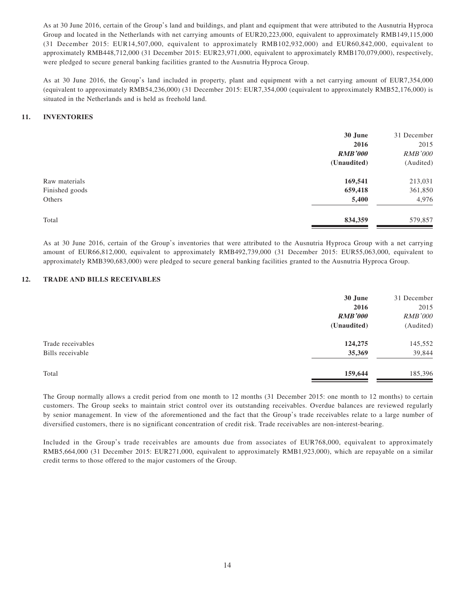As at 30 June 2016, certain of the Group's land and buildings, and plant and equipment that were attributed to the Ausnutria Hyproca Group and located in the Netherlands with net carrying amounts of EUR20,223,000, equivalent to approximately RMB149,115,000 (31 December 2015: EUR14,507,000, equivalent to approximately RMB102,932,000) and EUR60,842,000, equivalent to approximately RMB448,712,000 (31 December 2015: EUR23,971,000, equivalent to approximately RMB170,079,000), respectively, were pledged to secure general banking facilities granted to the Ausnutria Hyproca Group.

As at 30 June 2016, the Group's land included in property, plant and equipment with a net carrying amount of EUR7,354,000 (equivalent to approximately RMB54,236,000) (31 December 2015: EUR7,354,000 (equivalent to approximately RMB52,176,000) is situated in the Netherlands and is held as freehold land.

#### **11. INVENTORIES**

|                | 30 June        | 31 December    |
|----------------|----------------|----------------|
|                | 2016           | 2015           |
|                | <b>RMB'000</b> | <b>RMB'000</b> |
|                | (Unaudited)    | (Audited)      |
| Raw materials  | 169,541        | 213,031        |
| Finished goods | 659,418        | 361,850        |
| Others         | 5,400          | 4,976          |
| Total          | 834,359        | 579,857        |

As at 30 June 2016, certain of the Group's inventories that were attributed to the Ausnutria Hyproca Group with a net carrying amount of EUR66,812,000, equivalent to approximately RMB492,739,000 (31 December 2015: EUR55,063,000, equivalent to approximately RMB390,683,000) were pledged to secure general banking facilities granted to the Ausnutria Hyproca Group.

#### **12. TRADE AND BILLS RECEIVABLES**

|                   | 30 June        | 31 December    |
|-------------------|----------------|----------------|
|                   | 2016           | 2015           |
|                   | <b>RMB'000</b> | <b>RMB'000</b> |
|                   | (Unaudited)    | (Audited)      |
| Trade receivables | 124,275        | 145,552        |
| Bills receivable  | 35,369         | 39,844         |
| Total             | 159,644        | 185,396        |

The Group normally allows a credit period from one month to 12 months (31 December 2015: one month to 12 months) to certain customers. The Group seeks to maintain strict control over its outstanding receivables. Overdue balances are reviewed regularly by senior management. In view of the aforementioned and the fact that the Group's trade receivables relate to a large number of diversified customers, there is no significant concentration of credit risk. Trade receivables are non-interest-bearing.

Included in the Group's trade receivables are amounts due from associates of EUR768,000, equivalent to approximately RMB5,664,000 (31 December 2015: EUR271,000, equivalent to approximately RMB1,923,000), which are repayable on a similar credit terms to those offered to the major customers of the Group.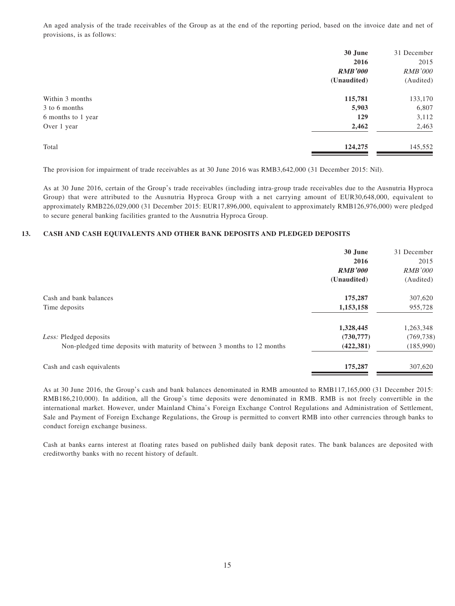An aged analysis of the trade receivables of the Group as at the end of the reporting period, based on the invoice date and net of provisions, is as follows:

|                    | 30 June        | 31 December    |
|--------------------|----------------|----------------|
|                    | 2016           | 2015           |
|                    | <b>RMB'000</b> | <b>RMB'000</b> |
|                    | (Unaudited)    | (Audited)      |
| Within 3 months    | 115,781        | 133,170        |
| 3 to 6 months      | 5,903          | 6,807          |
| 6 months to 1 year | 129            | 3,112          |
| Over 1 year        | 2,462          | 2,463          |
| Total              | 124,275        | 145,552        |

The provision for impairment of trade receivables as at 30 June 2016 was RMB3,642,000 (31 December 2015: Nil).

As at 30 June 2016, certain of the Group's trade receivables (including intra-group trade receivables due to the Ausnutria Hyproca Group) that were attributed to the Ausnutria Hyproca Group with a net carrying amount of EUR30,648,000, equivalent to approximately RMB226,029,000 (31 December 2015: EUR17,896,000, equivalent to approximately RMB126,976,000) were pledged to secure general banking facilities granted to the Ausnutria Hyproca Group.

#### **13. CASH AND CASH EQUIVALENTS AND OTHER BANK DEPOSITS AND PLEDGED DEPOSITS**

|                                                                          | 30 June        | 31 December    |
|--------------------------------------------------------------------------|----------------|----------------|
|                                                                          | 2016           | 2015           |
|                                                                          | <b>RMB'000</b> | <i>RMB'000</i> |
|                                                                          | (Unaudited)    | (Audited)      |
| Cash and bank balances                                                   | 175,287        | 307,620        |
| Time deposits                                                            | 1,153,158      | 955,728        |
|                                                                          | 1,328,445      | 1,263,348      |
| Less: Pledged deposits                                                   | (730, 777)     | (769, 738)     |
| Non-pledged time deposits with maturity of between 3 months to 12 months | (422, 381)     | (185,990)      |
| Cash and cash equivalents                                                | 175,287        | 307,620        |

As at 30 June 2016, the Group's cash and bank balances denominated in RMB amounted to RMB117,165,000 (31 December 2015: RMB186,210,000). In addition, all the Group's time deposits were denominated in RMB. RMB is not freely convertible in the international market. However, under Mainland China's Foreign Exchange Control Regulations and Administration of Settlement, Sale and Payment of Foreign Exchange Regulations, the Group is permitted to convert RMB into other currencies through banks to conduct foreign exchange business.

Cash at banks earns interest at floating rates based on published daily bank deposit rates. The bank balances are deposited with creditworthy banks with no recent history of default.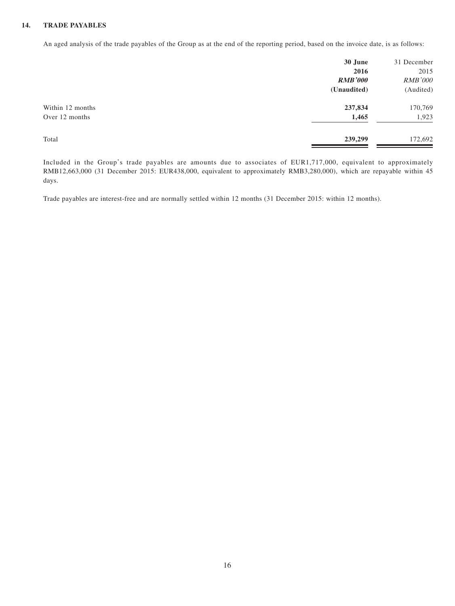#### **14. TRADE PAYABLES**

An aged analysis of the trade payables of the Group as at the end of the reporting period, based on the invoice date, is as follows:

|                  | 30 June        | 31 December    |
|------------------|----------------|----------------|
|                  | 2016           | 2015           |
|                  | <b>RMB'000</b> | <b>RMB'000</b> |
|                  | (Unaudited)    | (Audited)      |
| Within 12 months | 237,834        | 170,769        |
| Over 12 months   | 1,465          | 1,923          |
| Total            | 239,299        | 172,692        |

Included in the Group's trade payables are amounts due to associates of EUR1,717,000, equivalent to approximately RMB12,663,000 (31 December 2015: EUR438,000, equivalent to approximately RMB3,280,000), which are repayable within 45 days.

Trade payables are interest-free and are normally settled within 12 months (31 December 2015: within 12 months).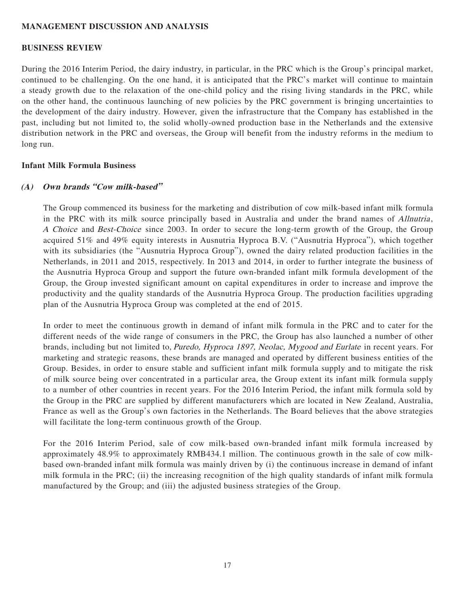## **MANAGEMENT DISCUSSION AND ANALYSIS**

#### **BUSINESS REVIEW**

During the 2016 Interim Period, the dairy industry, in particular, in the PRC which is the Group's principal market, continued to be challenging. On the one hand, it is anticipated that the PRC's market will continue to maintain a steady growth due to the relaxation of the one-child policy and the rising living standards in the PRC, while on the other hand, the continuous launching of new policies by the PRC government is bringing uncertainties to the development of the dairy industry. However, given the infrastructure that the Company has established in the past, including but not limited to, the solid wholly-owned production base in the Netherlands and the extensive distribution network in the PRC and overseas, the Group will benefit from the industry reforms in the medium to long run.

#### **Infant Milk Formula Business**

#### **(A) Own brands "Cow milk-based"**

The Group commenced its business for the marketing and distribution of cow milk-based infant milk formula in the PRC with its milk source principally based in Australia and under the brand names of *Allnutria*, A Choice and Best-Choice since 2003. In order to secure the long-term growth of the Group, the Group acquired 51% and 49% equity interests in Ausnutria Hyproca B.V. ("Ausnutria Hyproca"), which together with its subsidiaries (the "Ausnutria Hyproca Group"), owned the dairy related production facilities in the Netherlands, in 2011 and 2015, respectively. In 2013 and 2014, in order to further integrate the business of the Ausnutria Hyproca Group and support the future own-branded infant milk formula development of the Group, the Group invested significant amount on capital expenditures in order to increase and improve the productivity and the quality standards of the Ausnutria Hyproca Group. The production facilities upgrading plan of the Ausnutria Hyproca Group was completed at the end of 2015.

In order to meet the continuous growth in demand of infant milk formula in the PRC and to cater for the different needs of the wide range of consumers in the PRC, the Group has also launched a number of other brands, including but not limited to, Puredo, Hyproca 1897, Neolac, Mygood and Eurlate in recent years. For marketing and strategic reasons, these brands are managed and operated by different business entities of the Group. Besides, in order to ensure stable and sufficient infant milk formula supply and to mitigate the risk of milk source being over concentrated in a particular area, the Group extent its infant milk formula supply to a number of other countries in recent years. For the 2016 Interim Period, the infant milk formula sold by the Group in the PRC are supplied by different manufacturers which are located in New Zealand, Australia, France as well as the Group's own factories in the Netherlands. The Board believes that the above strategies will facilitate the long-term continuous growth of the Group.

For the 2016 Interim Period, sale of cow milk-based own-branded infant milk formula increased by approximately 48.9% to approximately RMB434.1 million. The continuous growth in the sale of cow milkbased own-branded infant milk formula was mainly driven by (i) the continuous increase in demand of infant milk formula in the PRC; (ii) the increasing recognition of the high quality standards of infant milk formula manufactured by the Group; and (iii) the adjusted business strategies of the Group.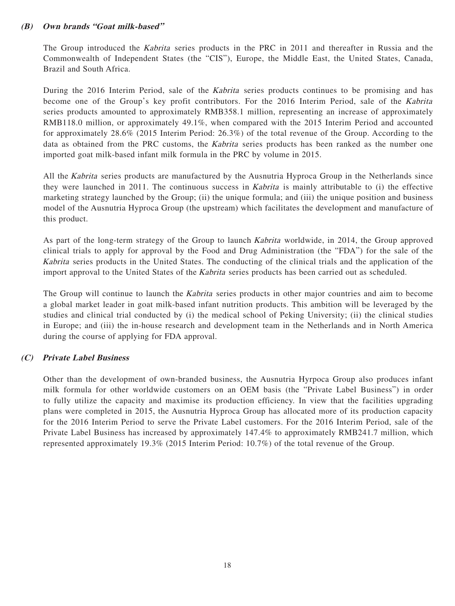## **(B) Own brands "Goat milk-based"**

The Group introduced the Kabrita series products in the PRC in 2011 and thereafter in Russia and the Commonwealth of Independent States (the "CIS"), Europe, the Middle East, the United States, Canada, Brazil and South Africa.

During the 2016 Interim Period, sale of the Kabrita series products continues to be promising and has become one of the Group's key profit contributors. For the 2016 Interim Period, sale of the Kabrita series products amounted to approximately RMB358.1 million, representing an increase of approximately RMB118.0 million, or approximately 49.1%, when compared with the 2015 Interim Period and accounted for approximately 28.6% (2015 Interim Period: 26.3%) of the total revenue of the Group. According to the data as obtained from the PRC customs, the Kabrita series products has been ranked as the number one imported goat milk-based infant milk formula in the PRC by volume in 2015.

All the Kabrita series products are manufactured by the Ausnutria Hyproca Group in the Netherlands since they were launched in 2011. The continuous success in Kabrita is mainly attributable to (i) the effective marketing strategy launched by the Group; (ii) the unique formula; and (iii) the unique position and business model of the Ausnutria Hyproca Group (the upstream) which facilitates the development and manufacture of this product.

As part of the long-term strategy of the Group to launch Kabrita worldwide, in 2014, the Group approved clinical trials to apply for approval by the Food and Drug Administration (the "FDA") for the sale of the Kabrita series products in the United States. The conducting of the clinical trials and the application of the import approval to the United States of the Kabrita series products has been carried out as scheduled.

The Group will continue to launch the *Kabrita* series products in other major countries and aim to become a global market leader in goat milk-based infant nutrition products. This ambition will be leveraged by the studies and clinical trial conducted by (i) the medical school of Peking University; (ii) the clinical studies in Europe; and (iii) the in-house research and development team in the Netherlands and in North America during the course of applying for FDA approval.

# **(C) Private Label Business**

Other than the development of own-branded business, the Ausnutria Hyrpoca Group also produces infant milk formula for other worldwide customers on an OEM basis (the "Private Label Business") in order to fully utilize the capacity and maximise its production efficiency. In view that the facilities upgrading plans were completed in 2015, the Ausnutria Hyproca Group has allocated more of its production capacity for the 2016 Interim Period to serve the Private Label customers. For the 2016 Interim Period, sale of the Private Label Business has increased by approximately 147.4% to approximately RMB241.7 million, which represented approximately 19.3% (2015 Interim Period: 10.7%) of the total revenue of the Group.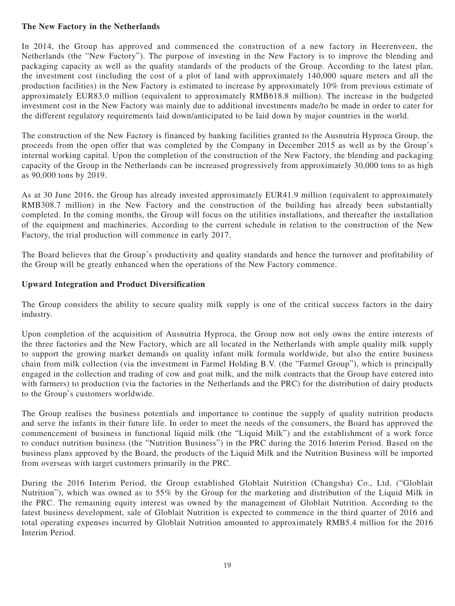## **The New Factory in the Netherlands**

In 2014, the Group has approved and commenced the construction of a new factory in Heerenveen, the Netherlands (the "New Factory"). The purpose of investing in the New Factory is to improve the blending and packaging capacity as well as the quality standards of the products of the Group. According to the latest plan, the investment cost (including the cost of a plot of land with approximately 140,000 square meters and all the production facilities) in the New Factory is estimated to increase by approximately 10% from previous estimate of approximately EUR83.0 million (equivalent to approximately RMB618.8 million). The increase in the budgeted investment cost in the New Factory was mainly due to additional investments made/to be made in order to cater for the different regulatory requirements laid down/anticipated to be laid down by major countries in the world.

The construction of the New Factory is financed by banking facilities granted to the Ausnutria Hyproca Group, the proceeds from the open offer that was completed by the Company in December 2015 as well as by the Group's internal working capital. Upon the completion of the construction of the New Factory, the blending and packaging capacity of the Group in the Netherlands can be increased progressively from approximately 30,000 tons to as high as 90,000 tons by 2019.

As at 30 June 2016, the Group has already invested approximately EUR41.9 million (equivalent to approximately RMB308.7 million) in the New Factory and the construction of the building has already been substantially completed. In the coming months, the Group will focus on the utilities installations, and thereafter the installation of the equipment and machineries. According to the current schedule in relation to the construction of the New Factory, the trial production will commence in early 2017.

The Board believes that the Group's productivity and quality standards and hence the turnover and profitability of the Group will be greatly enhanced when the operations of the New Factory commence.

## **Upward Integration and Product Diversification**

The Group considers the ability to secure quality milk supply is one of the critical success factors in the dairy industry.

Upon completion of the acquisition of Ausnutria Hyproca, the Group now not only owns the entire interests of the three factories and the New Factory, which are all located in the Netherlands with ample quality milk supply to support the growing market demands on quality infant milk formula worldwide, but also the entire business chain from milk collection (via the investment in Farmel Holding B.V. (the "Farmel Group"), which is principally engaged in the collection and trading of cow and goat milk, and the milk contracts that the Group have entered into with farmers) to production (via the factories in the Netherlands and the PRC) for the distribution of dairy products to the Group's customers worldwide.

The Group realises the business potentials and importance to continue the supply of quality nutrition products and serve the infants in their future life. In order to meet the needs of the consumers, the Board has approved the commencement of business in functional liquid milk (the "Liquid Milk") and the establishment of a work force to conduct nutrition business (the "Nutrition Business") in the PRC during the 2016 Interim Period. Based on the business plans approved by the Board, the products of the Liquid Milk and the Nutrition Business will be imported from overseas with target customers primarily in the PRC.

During the 2016 Interim Period, the Group established Globlait Nutrition (Changsha) Co., Ltd. ("Globlait Nutrition"), which was owned as to 55% by the Group for the marketing and distribution of the Liquid Milk in the PRC. The remaining equity interest was owned by the management of Globlait Nutrition. According to the latest business development, sale of Globlait Nutrition is expected to commence in the third quarter of 2016 and total operating expenses incurred by Globlait Nutrition amounted to approximately RMB5.4 million for the 2016 Interim Period.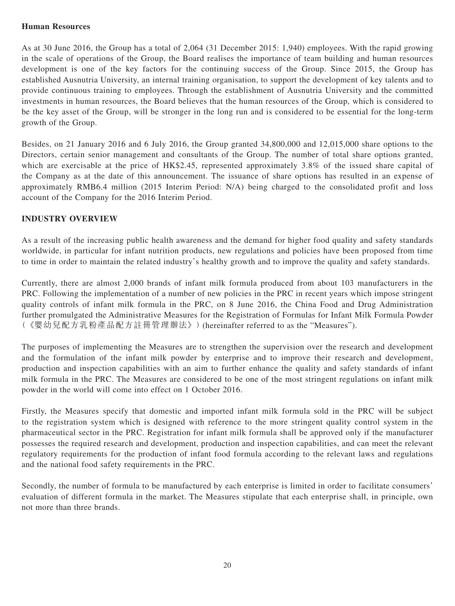## **Human Resources**

As at 30 June 2016, the Group has a total of 2,064 (31 December 2015: 1,940) employees. With the rapid growing in the scale of operations of the Group, the Board realises the importance of team building and human resources development is one of the key factors for the continuing success of the Group. Since 2015, the Group has established Ausnutria University, an internal training organisation, to support the development of key talents and to provide continuous training to employees. Through the establishment of Ausnutria University and the committed investments in human resources, the Board believes that the human resources of the Group, which is considered to be the key asset of the Group, will be stronger in the long run and is considered to be essential for the long-term growth of the Group.

Besides, on 21 January 2016 and 6 July 2016, the Group granted 34,800,000 and 12,015,000 share options to the Directors, certain senior management and consultants of the Group. The number of total share options granted, which are exercisable at the price of HK\$2.45, represented approximately 3.8% of the issued share capital of the Company as at the date of this announcement. The issuance of share options has resulted in an expense of approximately RMB6.4 million (2015 Interim Period: N/A) being charged to the consolidated profit and loss account of the Company for the 2016 Interim Period.

## **INDUSTRY OVERVIEW**

As a result of the increasing public health awareness and the demand for higher food quality and safety standards worldwide, in particular for infant nutrition products, new regulations and policies have been proposed from time to time in order to maintain the related industry's healthy growth and to improve the quality and safety standards.

Currently, there are almost 2,000 brands of infant milk formula produced from about 103 manufacturers in the PRC. Following the implementation of a number of new policies in the PRC in recent years which impose stringent quality controls of infant milk formula in the PRC, on 8 June 2016, the China Food and Drug Administration further promulgated the Administrative Measures for the Registration of Formulas for Infant Milk Formula Powder (《嬰幼兒配方乳粉產品配方註冊管理辦法》)(hereinafter referred to as the "Measures").

The purposes of implementing the Measures are to strengthen the supervision over the research and development and the formulation of the infant milk powder by enterprise and to improve their research and development, production and inspection capabilities with an aim to further enhance the quality and safety standards of infant milk formula in the PRC. The Measures are considered to be one of the most stringent regulations on infant milk powder in the world will come into effect on 1 October 2016.

Firstly, the Measures specify that domestic and imported infant milk formula sold in the PRC will be subject to the registration system which is designed with reference to the more stringent quality control system in the pharmaceutical sector in the PRC. Registration for infant milk formula shall be approved only if the manufacturer possesses the required research and development, production and inspection capabilities, and can meet the relevant regulatory requirements for the production of infant food formula according to the relevant laws and regulations and the national food safety requirements in the PRC.

Secondly, the number of formula to be manufactured by each enterprise is limited in order to facilitate consumers' evaluation of different formula in the market. The Measures stipulate that each enterprise shall, in principle, own not more than three brands.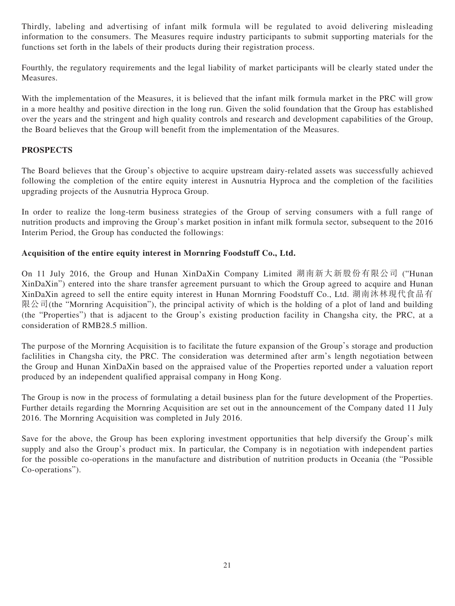Thirdly, labeling and advertising of infant milk formula will be regulated to avoid delivering misleading information to the consumers. The Measures require industry participants to submit supporting materials for the functions set forth in the labels of their products during their registration process.

Fourthly, the regulatory requirements and the legal liability of market participants will be clearly stated under the Measures.

With the implementation of the Measures, it is believed that the infant milk formula market in the PRC will grow in a more healthy and positive direction in the long run. Given the solid foundation that the Group has established over the years and the stringent and high quality controls and research and development capabilities of the Group, the Board believes that the Group will benefit from the implementation of the Measures.

# **PROSPECTS**

The Board believes that the Group's objective to acquire upstream dairy-related assets was successfully achieved following the completion of the entire equity interest in Ausnutria Hyproca and the completion of the facilities upgrading projects of the Ausnutria Hyproca Group.

In order to realize the long-term business strategies of the Group of serving consumers with a full range of nutrition products and improving the Group's market position in infant milk formula sector, subsequent to the 2016 Interim Period, the Group has conducted the followings:

# **Acquisition of the entire equity interest in Mornring Foodstuff Co., Ltd.**

On 11 July 2016, the Group and Hunan XinDaXin Company Limited 湖南新大新股份有限公司 ("Hunan XinDaXin") entered into the share transfer agreement pursuant to which the Group agreed to acquire and Hunan XinDaXin agreed to sell the entire equity interest in Hunan Mornring Foodstuff Co., Ltd. 湖南沐林現代食品有 限公司(the "Mornring Acquisition"), the principal activity of which is the holding of a plot of land and building (the "Properties") that is adjacent to the Group's existing production facility in Changsha city, the PRC, at a consideration of RMB28.5 million.

The purpose of the Mornring Acquisition is to facilitate the future expansion of the Group's storage and production faclilities in Changsha city, the PRC. The consideration was determined after arm's length negotiation between the Group and Hunan XinDaXin based on the appraised value of the Properties reported under a valuation report produced by an independent qualified appraisal company in Hong Kong.

The Group is now in the process of formulating a detail business plan for the future development of the Properties. Further details regarding the Mornring Acquisition are set out in the announcement of the Company dated 11 July 2016. The Mornring Acquisition was completed in July 2016.

Save for the above, the Group has been exploring investment opportunities that help diversify the Group's milk supply and also the Group's product mix. In particular, the Company is in negotiation with independent parties for the possible co-operations in the manufacture and distribution of nutrition products in Oceania (the "Possible Co-operations").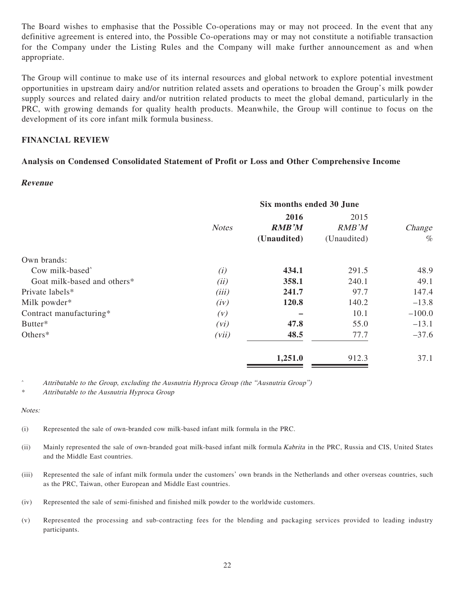The Board wishes to emphasise that the Possible Co-operations may or may not proceed. In the event that any definitive agreement is entered into, the Possible Co-operations may or may not constitute a notifiable transaction for the Company under the Listing Rules and the Company will make further announcement as and when appropriate.

The Group will continue to make use of its internal resources and global network to explore potential investment opportunities in upstream dairy and/or nutrition related assets and operations to broaden the Group's milk powder supply sources and related dairy and/or nutrition related products to meet the global demand, particularly in the PRC, with growing demands for quality health products. Meanwhile, the Group will continue to focus on the development of its core infant milk formula business.

## **FINANCIAL REVIEW**

## **Analysis on Condensed Consolidated Statement of Profit or Loss and Other Comprehensive Income**

#### **Revenue**

|                             | Six months ended 30 June |                                     |                              |                |
|-----------------------------|--------------------------|-------------------------------------|------------------------------|----------------|
|                             | <b>Notes</b>             | 2016<br><b>RMB'M</b><br>(Unaudited) | 2015<br>RMB'M<br>(Unaudited) | Change<br>$\%$ |
| Own brands:                 |                          |                                     |                              |                |
| Cow milk-based <sup>^</sup> | (i)                      | 434.1                               | 291.5                        | 48.9           |
| Goat milk-based and others* | (ii)                     | 358.1                               | 240.1                        | 49.1           |
| Private labels*             | (iii)                    | 241.7                               | 97.7                         | 147.4          |
| Milk powder*                | (iv)                     | 120.8                               | 140.2                        | $-13.8$        |
| Contract manufacturing*     | (V)                      |                                     | 10.1                         | $-100.0$       |
| Butter*                     | (vi)                     | 47.8                                | 55.0                         | $-13.1$        |
| Others*                     | (vii)                    | 48.5                                | 77.7                         | $-37.6$        |
|                             |                          | 1,251.0                             | 912.3                        | 37.1           |

<sup>^</sup> Attributable to the Group, excluding the Ausnutria Hyproca Group (the "Ausnutria Group")

\* Attributable to the Ausnutria Hyproca Group

Notes:

- (i) Represented the sale of own-branded cow milk-based infant milk formula in the PRC.
- (ii) Mainly represented the sale of own-branded goat milk-based infant milk formula Kabrita in the PRC, Russia and CIS, United States and the Middle East countries.
- (iii) Represented the sale of infant milk formula under the customers' own brands in the Netherlands and other overseas countries, such as the PRC, Taiwan, other European and Middle East countries.
- (iv) Represented the sale of semi-finished and finished milk powder to the worldwide customers.
- (v) Represented the processing and sub-contracting fees for the blending and packaging services provided to leading industry participants.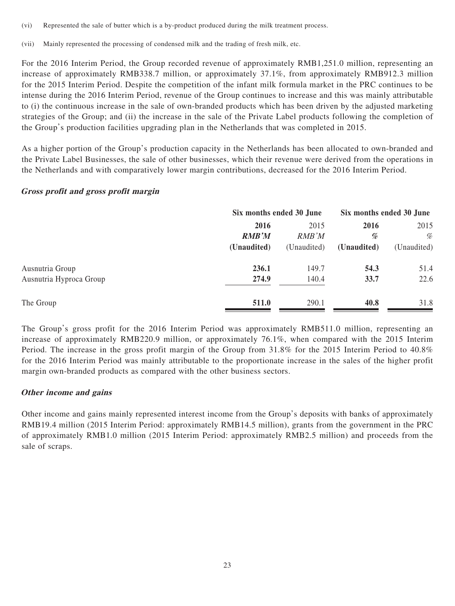(vi) Represented the sale of butter which is a by-product produced during the milk treatment process.

(vii) Mainly represented the processing of condensed milk and the trading of fresh milk, etc.

For the 2016 Interim Period, the Group recorded revenue of approximately RMB1,251.0 million, representing an increase of approximately RMB338.7 million, or approximately 37.1%, from approximately RMB912.3 million for the 2015 Interim Period. Despite the competition of the infant milk formula market in the PRC continues to be intense during the 2016 Interim Period, revenue of the Group continues to increase and this was mainly attributable to (i) the continuous increase in the sale of own-branded products which has been driven by the adjusted marketing strategies of the Group; and (ii) the increase in the sale of the Private Label products following the completion of the Group's production facilities upgrading plan in the Netherlands that was completed in 2015.

As a higher portion of the Group's production capacity in the Netherlands has been allocated to own-branded and the Private Label Businesses, the sale of other businesses, which their revenue were derived from the operations in the Netherlands and with comparatively lower margin contributions, decreased for the 2016 Interim Period.

#### **Gross profit and gross profit margin**

|                         | Six months ended 30 June |             | Six months ended 30 June |             |
|-------------------------|--------------------------|-------------|--------------------------|-------------|
|                         | 2016                     | 2015        | 2016                     | 2015        |
|                         | <b>RMB'M</b>             | RMB'M       | %                        | %           |
|                         | (Unaudited)              | (Unaudited) | (Unaudited)              | (Unaudited) |
| Ausnutria Group         | 236.1                    | 149.7       | 54.3                     | 51.4        |
| Ausnutria Hyproca Group | 274.9                    | 140.4       | 33.7                     | 22.6        |
| The Group               | 511.0                    | 290.1       | 40.8                     | 31.8        |

The Group's gross profit for the 2016 Interim Period was approximately RMB511.0 million, representing an increase of approximately RMB220.9 million, or approximately 76.1%, when compared with the 2015 Interim Period. The increase in the gross profit margin of the Group from 31.8% for the 2015 Interim Period to 40.8% for the 2016 Interim Period was mainly attributable to the proportionate increase in the sales of the higher profit margin own-branded products as compared with the other business sectors.

# **Other income and gains**

Other income and gains mainly represented interest income from the Group's deposits with banks of approximately RMB19.4 million (2015 Interim Period: approximately RMB14.5 million), grants from the government in the PRC of approximately RMB1.0 million (2015 Interim Period: approximately RMB2.5 million) and proceeds from the sale of scraps.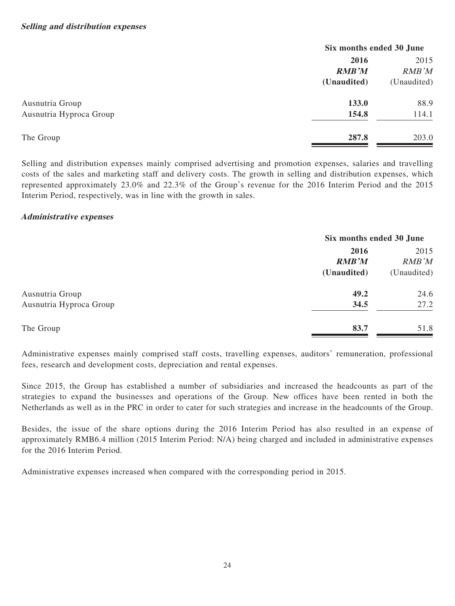| Six months ended 30 June |             |
|--------------------------|-------------|
| 2016                     | 2015        |
| <b>RMB'M</b>             | RMB'M       |
| (Unaudited)              | (Unaudited) |
| 133.0                    | 88.9        |
| 154.8                    | 114.1       |
| 287.8                    | 203.0       |
|                          |             |

Selling and distribution expenses mainly comprised advertising and promotion expenses, salaries and travelling costs of the sales and marketing staff and delivery costs. The growth in selling and distribution expenses, which represented approximately 23.0% and 22.3% of the Group's revenue for the 2016 Interim Period and the 2015 Interim Period, respectively, was in line with the growth in sales.

## **Administrative expenses**

|                         | Six months ended 30 June |             |
|-------------------------|--------------------------|-------------|
|                         | 2016                     | 2015        |
|                         | <b>RMB'M</b>             | RMB'M       |
|                         | (Unaudited)              | (Unaudited) |
| Ausnutria Group         | 49.2                     | 24.6        |
| Ausnutria Hyproca Group | 34.5                     | 27.2        |
| The Group               | 83.7                     | 51.8        |

Administrative expenses mainly comprised staff costs, travelling expenses, auditors' remuneration, professional fees, research and development costs, depreciation and rental expenses.

Since 2015, the Group has established a number of subsidiaries and increased the headcounts as part of the strategies to expand the businesses and operations of the Group. New offices have been rented in both the Netherlands as well as in the PRC in order to cater for such strategies and increase in the headcounts of the Group.

Besides, the issue of the share options during the 2016 Interim Period has also resulted in an expense of approximately RMB6.4 million (2015 Interim Period: N/A) being charged and included in administrative expenses for the 2016 Interim Period.

Administrative expenses increased when compared with the corresponding period in 2015.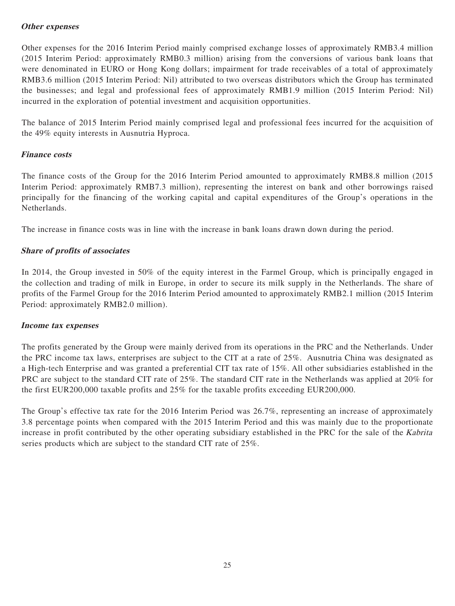## **Other expenses**

Other expenses for the 2016 Interim Period mainly comprised exchange losses of approximately RMB3.4 million (2015 Interim Period: approximately RMB0.3 million) arising from the conversions of various bank loans that were denominated in EURO or Hong Kong dollars; impairment for trade receivables of a total of approximately RMB3.6 million (2015 Interim Period: Nil) attributed to two overseas distributors which the Group has terminated the businesses; and legal and professional fees of approximately RMB1.9 million (2015 Interim Period: Nil) incurred in the exploration of potential investment and acquisition opportunities.

The balance of 2015 Interim Period mainly comprised legal and professional fees incurred for the acquisition of the 49% equity interests in Ausnutria Hyproca.

## **Finance costs**

The finance costs of the Group for the 2016 Interim Period amounted to approximately RMB8.8 million (2015 Interim Period: approximately RMB7.3 million), representing the interest on bank and other borrowings raised principally for the financing of the working capital and capital expenditures of the Group's operations in the Netherlands.

The increase in finance costs was in line with the increase in bank loans drawn down during the period.

## **Share of profits of associates**

In 2014, the Group invested in 50% of the equity interest in the Farmel Group, which is principally engaged in the collection and trading of milk in Europe, in order to secure its milk supply in the Netherlands. The share of profits of the Farmel Group for the 2016 Interim Period amounted to approximately RMB2.1 million (2015 Interim Period: approximately RMB2.0 million).

#### **Income tax expenses**

The profits generated by the Group were mainly derived from its operations in the PRC and the Netherlands. Under the PRC income tax laws, enterprises are subject to the CIT at a rate of 25%. Ausnutria China was designated as a High-tech Enterprise and was granted a preferential CIT tax rate of 15%. All other subsidiaries established in the PRC are subject to the standard CIT rate of 25%. The standard CIT rate in the Netherlands was applied at 20% for the first EUR200,000 taxable profits and 25% for the taxable profits exceeding EUR200,000.

The Group's effective tax rate for the 2016 Interim Period was 26.7%, representing an increase of approximately 3.8 percentage points when compared with the 2015 Interim Period and this was mainly due to the proportionate increase in profit contributed by the other operating subsidiary established in the PRC for the sale of the Kabrita series products which are subject to the standard CIT rate of 25%.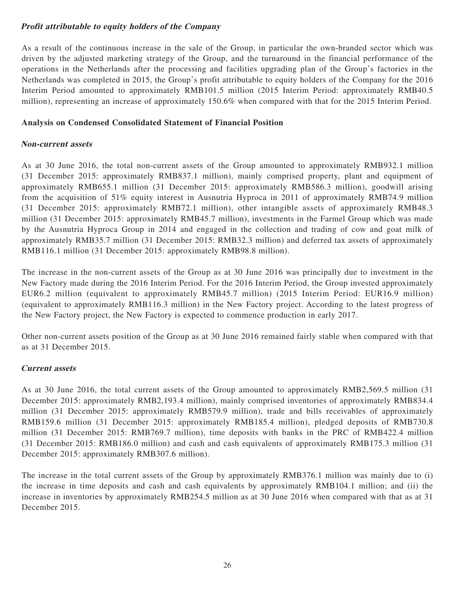# **Profit attributable to equity holders of the Company**

As a result of the continuous increase in the sale of the Group, in particular the own-branded sector which was driven by the adjusted marketing strategy of the Group, and the turnaround in the financial performance of the operations in the Netherlands after the processing and facilities upgrading plan of the Group's factories in the Netherlands was completed in 2015, the Group's profit attributable to equity holders of the Company for the 2016 Interim Period amounted to approximately RMB101.5 million (2015 Interim Period: approximately RMB40.5 million), representing an increase of approximately 150.6% when compared with that for the 2015 Interim Period.

## **Analysis on Condensed Consolidated Statement of Financial Position**

## **Non-current assets**

As at 30 June 2016, the total non-current assets of the Group amounted to approximately RMB932.1 million (31 December 2015: approximately RMB837.1 million), mainly comprised property, plant and equipment of approximately RMB655.1 million (31 December 2015: approximately RMB586.3 million), goodwill arising from the acquisition of 51% equity interest in Ausnutria Hyproca in 2011 of approximately RMB74.9 million (31 December 2015: approximately RMB72.1 million), other intangible assets of approximately RMB48.3 million (31 December 2015: approximately RMB45.7 million), investments in the Farmel Group which was made by the Ausnutria Hyproca Group in 2014 and engaged in the collection and trading of cow and goat milk of approximately RMB35.7 million (31 December 2015: RMB32.3 million) and deferred tax assets of approximately RMB116.1 million (31 December 2015: approximately RMB98.8 million).

The increase in the non-current assets of the Group as at 30 June 2016 was principally due to investment in the New Factory made during the 2016 Interim Period. For the 2016 Interim Period, the Group invested approximately EUR6.2 million (equivalent to approximately RMB45.7 million) (2015 Interim Period: EUR16.9 million) (equivalent to approximately RMB116.3 million) in the New Factory project. According to the latest progress of the New Factory project, the New Factory is expected to commence production in early 2017.

Other non-current assets position of the Group as at 30 June 2016 remained fairly stable when compared with that as at 31 December 2015.

# **Current assets**

As at 30 June 2016, the total current assets of the Group amounted to approximately RMB2,569.5 million (31 December 2015: approximately RMB2,193.4 million), mainly comprised inventories of approximately RMB834.4 million (31 December 2015: approximately RMB579.9 million), trade and bills receivables of approximately RMB159.6 million (31 December 2015: approximately RMB185.4 million), pledged deposits of RMB730.8 million (31 December 2015: RMB769.7 million), time deposits with banks in the PRC of RMB422.4 million (31 December 2015: RMB186.0 million) and cash and cash equivalents of approximately RMB175.3 million (31 December 2015: approximately RMB307.6 million).

The increase in the total current assets of the Group by approximately RMB376.1 million was mainly due to (i) the increase in time deposits and cash and cash equivalents by approximately RMB104.1 million; and (ii) the increase in inventories by approximately RMB254.5 million as at 30 June 2016 when compared with that as at 31 December 2015.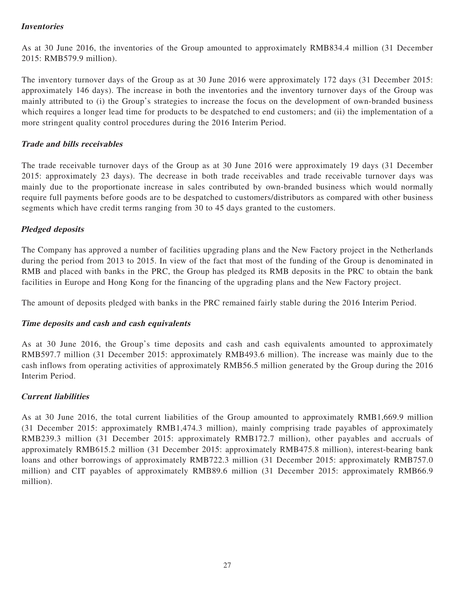# **Inventories**

As at 30 June 2016, the inventories of the Group amounted to approximately RMB834.4 million (31 December 2015: RMB579.9 million).

The inventory turnover days of the Group as at 30 June 2016 were approximately 172 days (31 December 2015: approximately 146 days). The increase in both the inventories and the inventory turnover days of the Group was mainly attributed to (i) the Group's strategies to increase the focus on the development of own-branded business which requires a longer lead time for products to be despatched to end customers; and (ii) the implementation of a more stringent quality control procedures during the 2016 Interim Period.

## **Trade and bills receivables**

The trade receivable turnover days of the Group as at 30 June 2016 were approximately 19 days (31 December 2015: approximately 23 days). The decrease in both trade receivables and trade receivable turnover days was mainly due to the proportionate increase in sales contributed by own-branded business which would normally require full payments before goods are to be despatched to customers/distributors as compared with other business segments which have credit terms ranging from 30 to 45 days granted to the customers.

## **Pledged deposits**

The Company has approved a number of facilities upgrading plans and the New Factory project in the Netherlands during the period from 2013 to 2015. In view of the fact that most of the funding of the Group is denominated in RMB and placed with banks in the PRC, the Group has pledged its RMB deposits in the PRC to obtain the bank facilities in Europe and Hong Kong for the financing of the upgrading plans and the New Factory project.

The amount of deposits pledged with banks in the PRC remained fairly stable during the 2016 Interim Period.

#### **Time deposits and cash and cash equivalents**

As at 30 June 2016, the Group's time deposits and cash and cash equivalents amounted to approximately RMB597.7 million (31 December 2015: approximately RMB493.6 million). The increase was mainly due to the cash inflows from operating activities of approximately RMB56.5 million generated by the Group during the 2016 Interim Period.

#### **Current liabilities**

As at 30 June 2016, the total current liabilities of the Group amounted to approximately RMB1,669.9 million (31 December 2015: approximately RMB1,474.3 million), mainly comprising trade payables of approximately RMB239.3 million (31 December 2015: approximately RMB172.7 million), other payables and accruals of approximately RMB615.2 million (31 December 2015: approximately RMB475.8 million), interest-bearing bank loans and other borrowings of approximately RMB722.3 million (31 December 2015: approximately RMB757.0 million) and CIT payables of approximately RMB89.6 million (31 December 2015: approximately RMB66.9 million).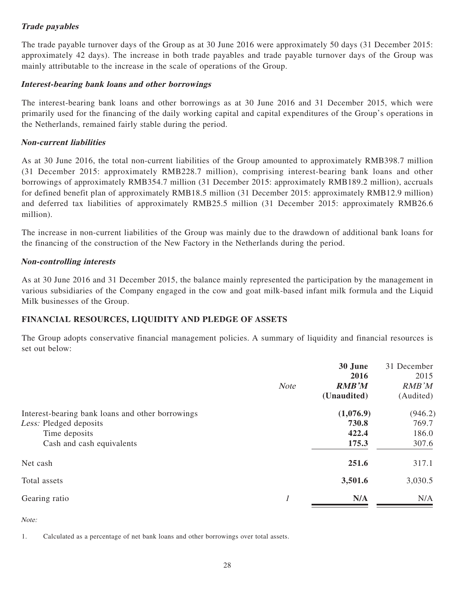# **Trade payables**

The trade payable turnover days of the Group as at 30 June 2016 were approximately 50 days (31 December 2015: approximately 42 days). The increase in both trade payables and trade payable turnover days of the Group was mainly attributable to the increase in the scale of operations of the Group.

## **Interest-bearing bank loans and other borrowings**

The interest-bearing bank loans and other borrowings as at 30 June 2016 and 31 December 2015, which were primarily used for the financing of the daily working capital and capital expenditures of the Group's operations in the Netherlands, remained fairly stable during the period.

## **Non-current liabilities**

As at 30 June 2016, the total non-current liabilities of the Group amounted to approximately RMB398.7 million (31 December 2015: approximately RMB228.7 million), comprising interest-bearing bank loans and other borrowings of approximately RMB354.7 million (31 December 2015: approximately RMB189.2 million), accruals for defined benefit plan of approximately RMB18.5 million (31 December 2015: approximately RMB12.9 million) and deferred tax liabilities of approximately RMB25.5 million (31 December 2015: approximately RMB26.6 million).

The increase in non-current liabilities of the Group was mainly due to the drawdown of additional bank loans for the financing of the construction of the New Factory in the Netherlands during the period.

## **Non-controlling interests**

As at 30 June 2016 and 31 December 2015, the balance mainly represented the participation by the management in various subsidiaries of the Company engaged in the cow and goat milk-based infant milk formula and the Liquid Milk businesses of the Group.

# **FINANCIAL RESOURCES, LIQUIDITY AND PLEDGE OF ASSETS**

The Group adopts conservative financial management policies. A summary of liquidity and financial resources is set out below:

|                                                                                                                          | <b>Note</b> | 30 June<br>2016<br><b>RMB'M</b><br>(Unaudited) | 31 December<br>2015<br><b>RMB</b> 'M<br>(Audited) |
|--------------------------------------------------------------------------------------------------------------------------|-------------|------------------------------------------------|---------------------------------------------------|
| Interest-bearing bank loans and other borrowings<br>Less: Pledged deposits<br>Time deposits<br>Cash and cash equivalents |             | (1,076.9)<br>730.8<br>422.4<br>175.3           | (946.2)<br>769.7<br>186.0<br>307.6                |
| Net cash                                                                                                                 |             | 251.6                                          | 317.1                                             |
| Total assets                                                                                                             |             | 3,501.6                                        | 3,030.5                                           |
| Gearing ratio                                                                                                            |             | N/A                                            | N/A                                               |

Note:

1. Calculated as a percentage of net bank loans and other borrowings over total assets.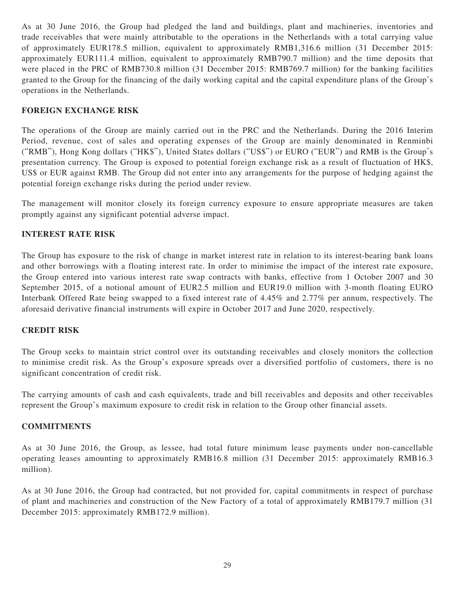As at 30 June 2016, the Group had pledged the land and buildings, plant and machineries, inventories and trade receivables that were mainly attributable to the operations in the Netherlands with a total carrying value of approximately EUR178.5 million, equivalent to approximately RMB1,316.6 million (31 December 2015: approximately EUR111.4 million, equivalent to approximately RMB790.7 million) and the time deposits that were placed in the PRC of RMB730.8 million (31 December 2015: RMB769.7 million) for the banking facilities granted to the Group for the financing of the daily working capital and the capital expenditure plans of the Group's operations in the Netherlands.

## **FOREIGN EXCHANGE RISK**

The operations of the Group are mainly carried out in the PRC and the Netherlands. During the 2016 Interim Period, revenue, cost of sales and operating expenses of the Group are mainly denominated in Renminbi ("RMB"), Hong Kong dollars ("HK\$"), United States dollars ("US\$") or EURO ("EUR") and RMB is the Group's presentation currency. The Group is exposed to potential foreign exchange risk as a result of fluctuation of HK\$, US\$ or EUR against RMB. The Group did not enter into any arrangements for the purpose of hedging against the potential foreign exchange risks during the period under review.

The management will monitor closely its foreign currency exposure to ensure appropriate measures are taken promptly against any significant potential adverse impact.

#### **INTEREST RATE RISK**

The Group has exposure to the risk of change in market interest rate in relation to its interest-bearing bank loans and other borrowings with a floating interest rate. In order to minimise the impact of the interest rate exposure, the Group entered into various interest rate swap contracts with banks, effective from 1 October 2007 and 30 September 2015, of a notional amount of EUR2.5 million and EUR19.0 million with 3-month floating EURO Interbank Offered Rate being swapped to a fixed interest rate of 4.45% and 2.77% per annum, respectively. The aforesaid derivative financial instruments will expire in October 2017 and June 2020, respectively.

#### **CREDIT RISK**

The Group seeks to maintain strict control over its outstanding receivables and closely monitors the collection to minimise credit risk. As the Group's exposure spreads over a diversified portfolio of customers, there is no significant concentration of credit risk.

The carrying amounts of cash and cash equivalents, trade and bill receivables and deposits and other receivables represent the Group's maximum exposure to credit risk in relation to the Group other financial assets.

#### **COMMITMENTS**

As at 30 June 2016, the Group, as lessee, had total future minimum lease payments under non-cancellable operating leases amounting to approximately RMB16.8 million (31 December 2015: approximately RMB16.3 million).

As at 30 June 2016, the Group had contracted, but not provided for, capital commitments in respect of purchase of plant and machineries and construction of the New Factory of a total of approximately RMB179.7 million (31 December 2015: approximately RMB172.9 million).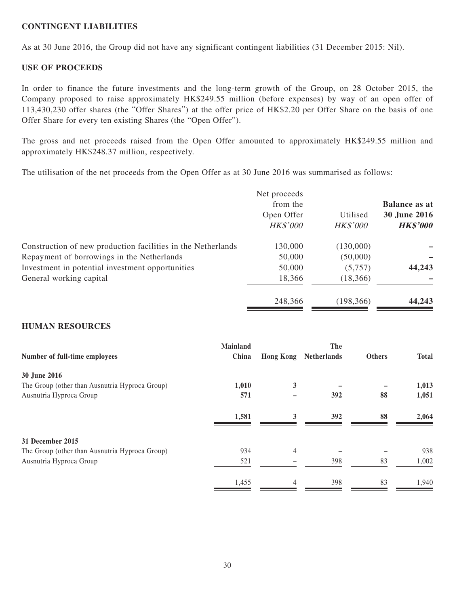## **CONTINGENT LIABILITIES**

As at 30 June 2016, the Group did not have any significant contingent liabilities (31 December 2015: Nil).

#### **USE OF PROCEEDS**

In order to finance the future investments and the long-term growth of the Group, on 28 October 2015, the Company proposed to raise approximately HK\$249.55 million (before expenses) by way of an open offer of 113,430,230 offer shares (the "Offer Shares") at the offer price of HK\$2.20 per Offer Share on the basis of one Offer Share for every ten existing Shares (the "Open Offer").

The gross and net proceeds raised from the Open Offer amounted to approximately HK\$249.55 million and approximately HK\$248.37 million, respectively.

The utilisation of the net proceeds from the Open Offer as at 30 June 2016 was summarised as follows:

|                                                              | Net proceeds<br>from the<br>Open Offer<br><b>HK\$'000</b> | Utilised<br><b>HK\$'000</b> | <b>Balance as at</b><br>30 June 2016<br><b>HK\$'000</b> |
|--------------------------------------------------------------|-----------------------------------------------------------|-----------------------------|---------------------------------------------------------|
| Construction of new production facilities in the Netherlands | 130,000                                                   | (130,000)                   |                                                         |
| Repayment of borrowings in the Netherlands                   | 50,000                                                    | (50,000)                    |                                                         |
| Investment in potential investment opportunities             | 50,000                                                    | (5,757)                     | 44,243                                                  |
| General working capital                                      | 18,366                                                    | (18, 366)                   |                                                         |
|                                                              | 248,366                                                   | (198, 366)                  | 44,243                                                  |

#### **HUMAN RESOURCES**

| Number of full-time employees                  | Mainland<br>China | <b>Hong Kong</b> | The<br><b>Netherlands</b> | <b>Others</b> | <b>Total</b> |
|------------------------------------------------|-------------------|------------------|---------------------------|---------------|--------------|
| 30 June 2016                                   |                   |                  |                           |               |              |
| The Group (other than Ausnutria Hyproca Group) | 1,010             | 3                |                           |               | 1,013        |
| Ausnutria Hyproca Group                        | 571               |                  | 392                       | 88            | 1,051        |
|                                                | 1,581             | 3                | <b>392</b>                | 88            | 2,064        |
| 31 December 2015                               |                   |                  |                           |               |              |
| The Group (other than Ausnutria Hyproca Group) | 934               | $\overline{4}$   |                           |               | 938          |
| Ausnutria Hyproca Group                        | 521               |                  | 398                       | 83            | 1,002        |
|                                                | 1,455             | $\overline{4}$   | 398                       | 83            | 1,940        |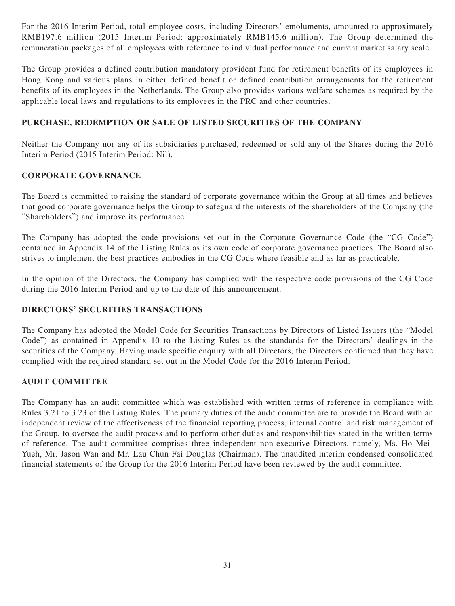For the 2016 Interim Period, total employee costs, including Directors' emoluments, amounted to approximately RMB197.6 million (2015 Interim Period: approximately RMB145.6 million). The Group determined the remuneration packages of all employees with reference to individual performance and current market salary scale.

The Group provides a defined contribution mandatory provident fund for retirement benefits of its employees in Hong Kong and various plans in either defined benefit or defined contribution arrangements for the retirement benefits of its employees in the Netherlands. The Group also provides various welfare schemes as required by the applicable local laws and regulations to its employees in the PRC and other countries.

# **PURCHASE, REDEMPTION OR SALE OF LISTED SECURITIES OF THE COMPANY**

Neither the Company nor any of its subsidiaries purchased, redeemed or sold any of the Shares during the 2016 Interim Period (2015 Interim Period: Nil).

## **CORPORATE GOVERNANCE**

The Board is committed to raising the standard of corporate governance within the Group at all times and believes that good corporate governance helps the Group to safeguard the interests of the shareholders of the Company (the "Shareholders") and improve its performance.

The Company has adopted the code provisions set out in the Corporate Governance Code (the "CG Code") contained in Appendix 14 of the Listing Rules as its own code of corporate governance practices. The Board also strives to implement the best practices embodies in the CG Code where feasible and as far as practicable.

In the opinion of the Directors, the Company has complied with the respective code provisions of the CG Code during the 2016 Interim Period and up to the date of this announcement.

### **DIRECTORS' SECURITIES TRANSACTIONS**

The Company has adopted the Model Code for Securities Transactions by Directors of Listed Issuers (the "Model Code") as contained in Appendix 10 to the Listing Rules as the standards for the Directors' dealings in the securities of the Company. Having made specific enquiry with all Directors, the Directors confirmed that they have complied with the required standard set out in the Model Code for the 2016 Interim Period.

#### **AUDIT COMMITTEE**

The Company has an audit committee which was established with written terms of reference in compliance with Rules 3.21 to 3.23 of the Listing Rules. The primary duties of the audit committee are to provide the Board with an independent review of the effectiveness of the financial reporting process, internal control and risk management of the Group, to oversee the audit process and to perform other duties and responsibilities stated in the written terms of reference. The audit committee comprises three independent non-executive Directors, namely, Ms. Ho Mei-Yueh, Mr. Jason Wan and Mr. Lau Chun Fai Douglas (Chairman). The unaudited interim condensed consolidated financial statements of the Group for the 2016 Interim Period have been reviewed by the audit committee.